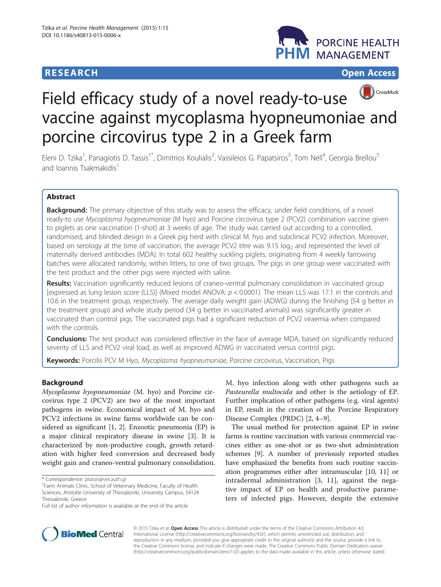# **RESEARCH RESEARCH** *CHECK CHECK CHECK CHECK CHECK CHECK CHECK CHECK CHECK CHECK CHECK CHECK CHECK CHECK CHECK CHECK CHECK CHECK CHECK CHECK CHECK CHECK CHECK CHECK CHECK CHECK CHECK CHECK CHECK CHECK CHECK CHECK CHECK*





# Field efficacy study of a novel ready-to-use vaccine against mycoplasma hyopneumoniae and porcine circovirus type 2 in a Greek farm

Eleni D. Tzika<sup>1</sup>, Panagiotis D. Tassis<sup>1\*</sup>, Dimitrios Koulialis<sup>2</sup>, Vassileios G. Papatsiros<sup>3</sup>, Tom Nell<sup>4</sup>, Georgia Brellou<sup>5</sup> and Joannis Tsakmakidis<sup>1</sup>

# Abstract

Background: The primary objective of this study was to assess the efficacy, under field conditions, of a novel ready-to use Mycoplasma hyopneumoniae (M hyo) and Porcine circovirus type 2 (PCV2) combination vaccine given to piglets as one vaccination (1-shot) at 3 weeks of age. The study was carried out according to a controlled, randomised, and blinded design in a Greek pig herd with clinical M. hyo and subclinical PCV2 infection. Moreover, based on serology at the time of vaccination, the average PCV2 titre was 9.15 log<sub>2</sub> and represented the level of maternally derived antibodies (MDA). In total 602 healthy suckling piglets, originating from 4 weekly farrowing batches were allocated randomly, within litters, to one of two groups. The pigs in one group were vaccinated with the test product and the other pigs were injected with saline.

Results: Vaccination significantly reduced lesions of craneo-ventral pulmonary consolidation in vaccinated group [expressed as lung lesion score (LLS)] (Mixed model ANOVA: p < 0.0001). The mean LLS was 17.1 in the controls and 10.6 in the treatment group, respectively. The average daily weight gain (ADWG) during the finishing (54 g better in the treatment group) and whole study period (34 g better in vaccinated animals) was significantly greater in vaccinated than control pigs. The vaccinated pigs had a significant reduction of PCV2 viraemia when compared with the controls.

Conclusions: The test product was considered effective in the face of average MDA, based on significantly reduced severity of LLS and PCV2 viral load, as well as improved ADWG in vaccinated versus control pigs.

Keywords: Porcilis PCV M Hyo, Mycoplasma hyopneumoniae, Porcine circovirus, Vaccination, Pigs

# Background

Mycoplasma hyopneumoniae (M. hyo) and Porcine circovirus type 2 (PCV2) are two of the most important pathogens in swine. Economical impact of M. hyo and PCV2 infections in swine farms worldwide can be considered as significant [[1, 2\]](#page-5-0). Enzootic pneumonia (EP) is a major clinical respiratory disease in swine [\[3](#page-5-0)]. It is characterized by non-productive cough, growth retardation with higher feed conversion and decreased body weight gain and craneo-ventral pulmonary consolidation.

M. hyo infection along with other pathogens such as Pasteurella multocida and other is the aetiology of EP. Further implication of other pathogens (e.g. viral agents) in EP, result in the creation of the Porcine Respiratory Disease Complex (PRDC) [\[2](#page-5-0), [4](#page-5-0)–[9\]](#page-5-0).

The usual method for protection against EP in swine farms is routine vaccination with various commercial vaccines either as one-shot or as two-shot administration schemes [[9\]](#page-5-0). A number of previously reported studies have emphasized the benefits from such routine vaccination programmes either after intramuscular [[10](#page-5-0), [11](#page-5-0)] or intradermal administration [[3, 11](#page-5-0)], against the negative impact of EP on health and productive parameters of infected pigs. However, despite the extensive



© 2015 Tzika et al. Open Access This article is distributed under the terms of the Creative Commons Attribution 4.0 International License [\(http://creativecommons.org/licenses/by/4.0/](http://creativecommons.org/licenses/by/4.0/)), which permits unrestricted use, distribution, and reproduction in any medium, provided you give appropriate credit to the original author(s) and the source, provide a link to the Creative Commons license, and indicate if changes were made. The Creative Commons Public Domain Dedication waiver [\(http://creativecommons.org/publicdomain/zero/1.0/](http://creativecommons.org/publicdomain/zero/1.0/)) applies to the data made available in this article, unless otherwise stated.

<sup>\*</sup> Correspondence: [ptassis@vet.auth.gr](mailto:ptassis@vet.auth.gr) <sup>1</sup>

<sup>&</sup>lt;sup>1</sup> Farm Animals Clinic, School of Veterinary Medicine, Faculty of Health Sciences, Aristotle University of Thessaloniki, University Campus, 54124 Thessaloniki, Greece

Full list of author information is available at the end of the article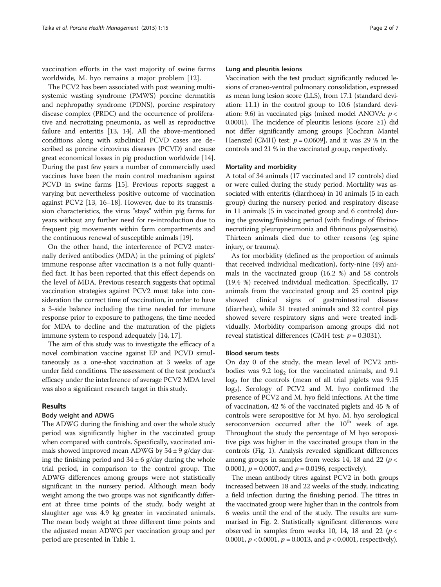vaccination efforts in the vast majority of swine farms worldwide, M. hyo remains a major problem [\[12](#page-5-0)].

The PCV2 has been associated with post weaning multisystemic wasting syndrome (PMWS) porcine dermatitis and nephropathy syndrome (PDNS), porcine respiratory disease complex (PRDC) and the occurrence of proliferative and necrotizing pneumonia, as well as reproductive failure and enteritis [\[13, 14](#page-5-0)]. All the above-mentioned conditions along with subclinical PCVD cases are described as porcine circovirus diseases (PCVD) and cause great economical losses in pig production worldwide [[14](#page-5-0)]. During the past few years a number of commercially used vaccines have been the main control mechanism against PCVD in swine farms [\[15\]](#page-5-0). Previous reports suggest a varying but nevertheless positive outcome of vaccination against PCV2 [[13, 16](#page-5-0)–[18](#page-6-0)]. However, due to its transmission characteristics, the virus "stays" within pig farms for years without any further need for re-introduction due to frequent pig movements within farm compartments and the continuous renewal of susceptible animals [\[19\]](#page-6-0).

On the other hand, the interference of PCV2 maternally derived antibodies (MDA) in the priming of piglets' immune response after vaccination is a not fully quantified fact. It has been reported that this effect depends on the level of MDA. Previous research suggests that optimal vaccination strategies against PCV2 must take into consideration the correct time of vaccination, in order to have a 3-side balance including the time needed for immune response prior to exposure to pathogens, the time needed for MDA to decline and the maturation of the piglets immune system to respond adequately [[14](#page-5-0), [17](#page-6-0)].

The aim of this study was to investigate the efficacy of a novel combination vaccine against EP and PCVD simultaneously as a one-shot vaccination at 3 weeks of age under field conditions. The assessment of the test product's efficacy under the interference of average PCV2 MDA level was also a significant research target in this study.

# Results

# Body weight and ADWG

The ADWG during the finishing and over the whole study period was significantly higher in the vaccinated group when compared with controls. Specifically, vaccinated animals showed improved mean ADWG by  $54 \pm 9$  g/day during the finishing period and  $34 \pm 6$  g/day during the whole trial period, in comparison to the control group. The ADWG differences among groups were not statistically significant in the nursery period. Although mean body weight among the two groups was not significantly different at three time points of the study, body weight at slaughter age was 4.9 kg greater in vaccinated animals. The mean body weight at three different time points and the adjusted mean ADWG per vaccination group and per period are presented in Table [1.](#page-2-0)

## Lung and pleuritis lesions

Vaccination with the test product significantly reduced lesions of craneo-ventral pulmonary consolidation, expressed as mean lung lesion score (LLS), from 17.1 (standard deviation: 11.1) in the control group to 10.6 (standard deviation: 9.6) in vaccinated pigs (mixed model ANOVA:  $p <$ 0.0001). The incidence of pleuritis lesions (score  $\geq$ 1) did not differ significantly among groups [Cochran Mantel Haenszel (CMH) test:  $p = 0.0609$ , and it was 29 % in the controls and 21 % in the vaccinated group, respectively.

#### Mortality and morbidity

A total of 34 animals (17 vaccinated and 17 controls) died or were culled during the study period. Mortality was associated with enteritis (diarrhoea) in 10 animals (5 in each group) during the nursery period and respiratory disease in 11 animals (5 in vaccinated group and 6 controls) during the growing/finishing period (with findings of fibrinonecrotizing pleuropneumonia and fibrinous polyserositis). Thirteen animals died due to other reasons (eg spine injury, or trauma).

As for morbidity (defined as the proportion of animals that received individual medication), forty-nine (49) animals in the vaccinated group (16.2 %) and 58 controls (19.4 %) received individual medication. Specifically, 17 animals from the vaccinated group and 25 control pigs showed clinical signs of gastrointestinal disease (diarrhea), while 31 treated animals and 32 control pigs showed severe respiratory signs and were treated individually. Morbidity comparison among groups did not reveal statistical differences (CMH test:  $p = 0.3031$ ).

# Blood serum tests

On day 0 of the study, the mean level of PCV2 antibodies was 9.2  $log_2$  for the vaccinated animals, and 9.1  $log<sub>2</sub>$  for the controls (mean of all trial piglets was 9.15  $log_2$ ). Serology of PCV2 and M. hyo confirmed the presence of PCV2 and M. hyo field infections. At the time of vaccination, 42 % of the vaccinated piglets and 45 % of controls were seropositive for M hyo. M. hyo serological seroconversion occurred after the  $10^{th}$  week of age. Throughout the study the percentage of M hyo seropositive pigs was higher in the vaccinated groups than in the controls (Fig. [1](#page-2-0)). Analysis revealed significant differences among groups in samples from weeks 14, 18 and 22 ( $p$  < 0.0001,  $p = 0.0007$ , and  $p = 0.0196$ , respectively).

The mean antibody titres against PCV2 in both groups increased between 18 and 22 weeks of the study, indicating a field infection during the finishing period. The titres in the vaccinated group were higher than in the controls from 6 weeks until the end of the study. The results are summarised in Fig. [2.](#page-3-0) Statistically significant differences were observed in samples from weeks 10, 14, 18 and 22 ( $p$  < 0.0001,  $p < 0.0001$ ,  $p = 0.0013$ , and  $p < 0.0001$ , respectively).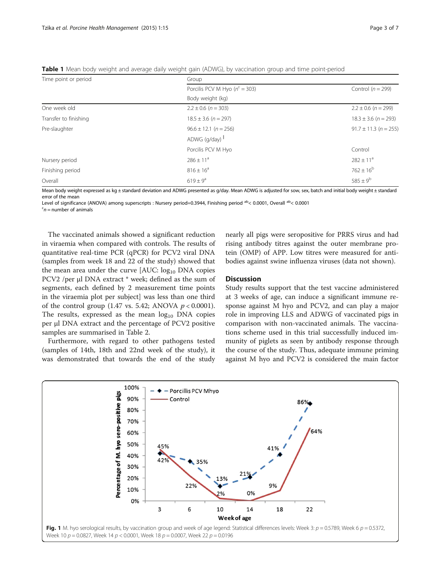| Time point or period  | Group                              |                           |  |
|-----------------------|------------------------------------|---------------------------|--|
|                       | Porcilis PCV M Hyo ( $n^c = 303$ ) | Control ( $n = 299$ )     |  |
|                       | Body weight (kg)                   |                           |  |
| One week old          | $2.2 \pm 0.6$ (n = 303)            | $2.2 \pm 0.6$ (n = 299)   |  |
| Transfer to finishing | $18.5 \pm 3.6$ (n = 297)           | $18.3 \pm 3.6$ (n = 293)  |  |
| Pre-slaughter         | $96.6 \pm 12.1$ (n = 256)          | $91.7 \pm 11.3$ (n = 255) |  |
|                       | ADWG $(g/day)$ <sup>1</sup>        |                           |  |
|                       | Porcilis PCV M Hyo                 | Control                   |  |
| Nursery period        | $286 \pm 11^a$                     | $282 \pm 11^a$            |  |
| Finishing period      | $816 \pm 16^a$                     | $762 \pm 16^b$            |  |
| Overall               | $619 \pm 9^a$                      | $585 \pm 9^{\rm b}$       |  |

<span id="page-2-0"></span>Table 1 Mean body weight and average daily weight gain (ADWG), by vaccination group and time point-period

Mean body weight expressed as kg ± standard deviation and ADWG presented as g/day. Mean ADWG is adjusted for sow, sex, batch and initial body weight ± standard error of the mean

Level of significance (ANOVA) among superscripts : Nursery period=0.3944, Finishing period ab < 0.0001, Overall ab < 0.0001

 $n$  = number of animals

The vaccinated animals showed a significant reduction in viraemia when compared with controls. The results of quantitative real-time PCR (qPCR) for PCV2 viral DNA (samples from week 18 and 22 of the study) showed that the mean area under the curve  $[AUC: log<sub>10</sub> DNA copies]$ PCV2 /per μl DNA extract \* week; defined as the sum of segments, each defined by 2 measurement time points in the viraemia plot per subject] was less than one third of the control group (1.47 vs. 5.42; ANOVA  $p < 0.0001$ ). The results, expressed as the mean  $log_{10}$  DNA copies per μl DNA extract and the percentage of PCV2 positive samples are summarised in Table [2.](#page-3-0)

Furthermore, with regard to other pathogens tested (samples of 14th, 18th and 22nd week of the study), it was demonstrated that towards the end of the study nearly all pigs were seropositive for PRRS virus and had rising antibody titres against the outer membrane protein (OMP) of APP. Low titres were measured for antibodies against swine influenza viruses (data not shown).

# **Discussion**

Study results support that the test vaccine administered at 3 weeks of age, can induce a significant immune response against M hyo and PCV2, and can play a major role in improving LLS and ADWG of vaccinated pigs in comparison with non-vaccinated animals. The vaccinations scheme used in this trial successfully induced immunity of piglets as seen by antibody response through the course of the study. Thus, adequate immune priming against M hyo and PCV2 is considered the main factor

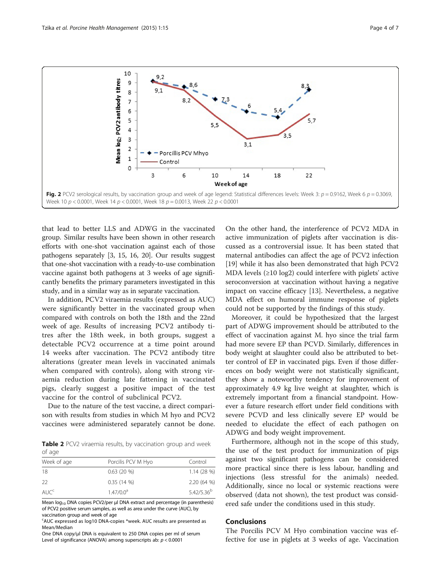<span id="page-3-0"></span>

that lead to better LLS and ADWG in the vaccinated group. Similar results have been shown in other research efforts with one-shot vaccination against each of those pathogens separately [\[3](#page-5-0), [15](#page-5-0), [16,](#page-5-0) [20\]](#page-6-0). Our results suggest that one-shot vaccination with a ready-to-use combination vaccine against both pathogens at 3 weeks of age significantly benefits the primary parameters investigated in this study, and in a similar way as in separate vaccination.

In addition, PCV2 viraemia results (expressed as AUC) were significantly better in the vaccinated group when compared with controls on both the 18th and the 22nd week of age. Results of increasing PCV2 antibody titres after the 18th week, in both groups, suggest a detectable PCV2 occurrence at a time point around 14 weeks after vaccination. The PCV2 antibody titre alterations (greater mean levels in vaccinated animals when compared with controls), along with strong viraemia reduction during late fattening in vaccinated pigs, clearly suggest a positive impact of the test vaccine for the control of subclinical PCV2.

Due to the nature of the test vaccine, a direct comparison with results from studies in which M hyo and PCV2 vaccines were administered separately cannot be done.

Table 2 PCV2 viraemia results, by vaccination group and week of age

| Week of age<br>Porcilis PCV M Hyo | Control         |
|-----------------------------------|-----------------|
| $0.63(20\%)$                      | 1.14(28%)       |
| $0.35(14\%)$                      | 2.20 (64 %)     |
| 1.47/0.0 <sup>a</sup>             | $5.42/5.36^{b}$ |
|                                   |                 |

Mean  $log_{10}$  DNA copies PCV2/per μl DNA extract and percentage (in parenthesis) of PCV2 positive serum samples, as well as area under the curve (AUC), by vaccination group and week of age

<sup>c</sup>AUC expressed as log10 DNA-copies \*week. AUC results are presented as Mean/Median

One DNA copy/μl DNA is equivalent to 250 DNA copies per ml of serum Level of significance (ANOVA) among superscripts ab:  $p < 0.0001$ 

On the other hand, the interference of PCV2 MDA in active immunization of piglets after vaccination is discussed as a controversial issue. It has been stated that maternal antibodies can affect the age of PCV2 infection [[19\]](#page-6-0) while it has also been demonstrated that high PCV2 MDA levels (≥10 log2) could interfere with piglets' active seroconversion at vaccination without having a negative impact on vaccine efficacy [[13\]](#page-5-0). Nevertheless, a negative MDA effect on humoral immune response of piglets could not be supported by the findings of this study.

Moreover, it could be hypothesized that the largest part of ADWG improvement should be attributed to the effect of vaccination against M. hyo since the trial farm had more severe EP than PCVD. Similarly, differences in body weight at slaughter could also be attributed to better control of EP in vaccinated pigs. Even if those differences on body weight were not statistically significant, they show a noteworthy tendency for improvement of approximately 4.9 kg live weight at slaughter, which is extremely important from a financial standpoint. However a future research effort under field conditions with severe PCVD and less clinically severe EP would be needed to elucidate the effect of each pathogen on ADWG and body weight improvement.

Furthermore, although not in the scope of this study, the use of the test product for immunization of pigs against two significant pathogens can be considered more practical since there is less labour, handling and injections (less stressful for the animals) needed. Additionally, since no local or systemic reactions were observed (data not shown), the test product was considered safe under the conditions used in this study.

# Conclusions

The Porcilis PCV M Hyo combination vaccine was effective for use in piglets at 3 weeks of age. Vaccination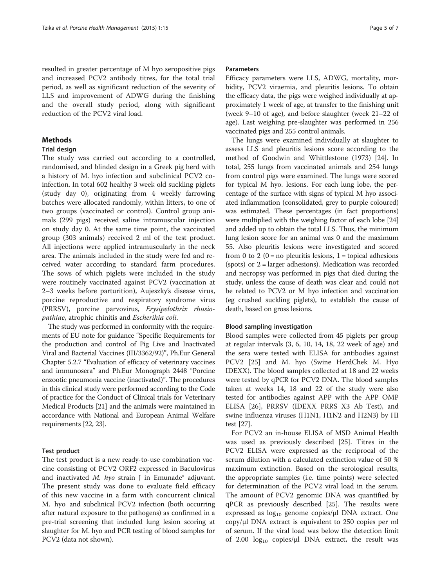resulted in greater percentage of M hyo seropositive pigs and increased PCV2 antibody titres, for the total trial period, as well as significant reduction of the severity of LLS and improvement of ADWG during the finishing and the overall study period, along with significant reduction of the PCV2 viral load.

# Methods

# Trial design

The study was carried out according to a controlled, randomised, and blinded design in a Greek pig herd with a history of M. hyo infection and subclinical PCV2 coinfection. In total 602 healthy 3 week old suckling piglets (study day 0), originating from 4 weekly farrowing batches were allocated randomly, within litters, to one of two groups (vaccinated or control). Control group animals (299 pigs) received saline intramuscular injection on study day 0. At the same time point, the vaccinated group (303 animals) received 2 ml of the test product. All injections were applied intramuscularly in the neck area. The animals included in the study were fed and received water according to standard farm procedures. The sows of which piglets were included in the study were routinely vaccinated against PCV2 (vaccination at 2–3 weeks before parturition), Aujeszky's disease virus, porcine reproductive and respiratory syndrome virus (PRRSV), porcine parvovirus, Erysipelothrix rhusiopathiae, atrophic rhinitis and Escherihia coli.

The study was performed in conformity with the requirements of EU note for guidance "Specific Requirements for the production and control of Pig Live and Inactivated Viral and Bacterial Vaccines (III/3362/92)", Ph.Eur General Chapter 5.2.7 "Evaluation of efficacy of veterinary vaccines and immunosera" and Ph.Eur Monograph 2448 "Porcine enzootic pneumonia vaccine (inactivated)". The procedures in this clinical study were performed according to the Code of practice for the Conduct of Clinical trials for Veterinary Medical Products [\[21\]](#page-6-0) and the animals were maintained in accordance with National and European Animal Welfare requirements [\[22](#page-6-0), [23\]](#page-6-0).

#### Test product

The test product is a new ready-to-use combination vaccine consisting of PCV2 ORF2 expressed in Baculovirus and inactivated  $M$ . hyo strain J in Emunade® adjuvant. The present study was done to evaluate field efficacy of this new vaccine in a farm with concurrent clinical M. hyo and subclinical PCV2 infection (both occurring after natural exposure to the pathogens) as confirmed in a pre-trial screening that included lung lesion scoring at slaughter for M. hyo and PCR testing of blood samples for PCV2 (data not shown).

#### Parameters

Efficacy parameters were LLS, ADWG, mortality, morbidity, PCV2 viraemia, and pleuritis lesions. To obtain the efficacy data, the pigs were weighed individually at approximately 1 week of age, at transfer to the finishing unit (week 9–10 of age), and before slaughter (week 21–22 of age). Last weighing pre-slaughter was performed in 256 vaccinated pigs and 255 control animals.

The lungs were examined individually at slaughter to assess LLS and pleuritis lesions score according to the method of Goodwin and Whittlestone (1973) [[24](#page-6-0)]. In total, 255 lungs from vaccinated animals and 254 lungs from control pigs were examined. The lungs were scored for typical M hyo. lesions. For each lung lobe, the percentage of the surface with signs of typical M hyo associated inflammation (consolidated, grey to purple coloured) was estimated. These percentages (in fact proportions) were multiplied with the weighing factor of each lobe [[24](#page-6-0)] and added up to obtain the total LLS. Thus, the minimum lung lesion score for an animal was 0 and the maximum 55. Also pleuritis lesions were investigated and scored from 0 to 2 (0 = no pleuritis lesions, 1 = topical adhesions (spots) or 2 = larger adhesions). Medication was recorded and necropsy was performed in pigs that died during the study, unless the cause of death was clear and could not be related to PCV2 or M hyo infection and vaccination (eg crushed suckling piglets), to establish the cause of death, based on gross lesions.

## Blood sampling investigation

Blood samples were collected from 45 piglets per group at regular intervals (3, 6, 10, 14, 18, 22 week of age) and the sera were tested with ELISA for antibodies against PCV2 [[25\]](#page-6-0) and M. hyo (Swine HerdChek M. Hyo IDEXX). The blood samples collected at 18 and 22 weeks were tested by qPCR for PCV2 DNA. The blood samples taken at weeks 14, 18 and 22 of the study were also tested for antibodies against APP with the APP OMP ELISA [[26](#page-6-0)], PRRSV (IDEXX PRRS X3 Ab Test), and swine influenza viruses (H1N1, H1N2 and H2N3) by HI test [\[27](#page-6-0)].

For PCV2 an in-house ELISA of MSD Animal Health was used as previously described [\[25](#page-6-0)]. Titres in the PCV2 ELISA were expressed as the reciprocal of the serum dilution with a calculated extinction value of 50 % maximum extinction. Based on the serological results, the appropriate samples (i.e. time points) were selected for determination of the PCV2 viral load in the serum. The amount of PCV2 genomic DNA was quantified by qPCR as previously described [[25](#page-6-0)]. The results were expressed as  $log_{10}$  genome copies/μl DNA extract. One copy/μl DNA extract is equivalent to 250 copies per ml of serum. If the viral load was below the detection limit of 2.00  $log_{10}$  copies/ $\mu$ l DNA extract, the result was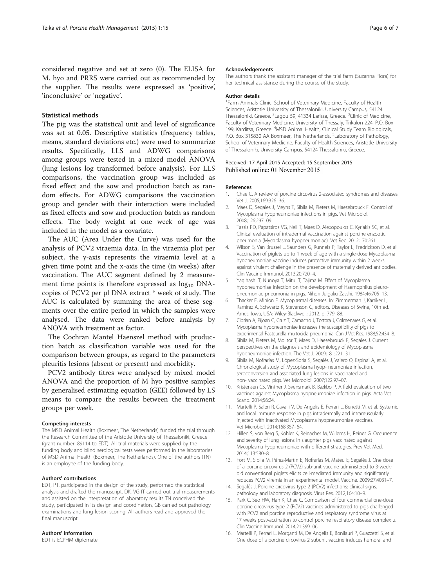<span id="page-5-0"></span>considered negative and set at zero (0). The ELISA for M. hyo and PRRS were carried out as recommended by the supplier. The results were expressed as 'positive', 'inconclusive' or 'negative'.

# Statistical methods

The pig was the statistical unit and level of significance was set at 0.05. Descriptive statistics (frequency tables, means, standard deviations etc.) were used to summarize results. Specifically, LLS and ADWG comparisons among groups were tested in a mixed model ANOVA (lung lesions log transformed before analysis). For LLS comparisons, the vaccination group was included as fixed effect and the sow and production batch as random effects. For ADWG comparisons the vaccination group and gender with their interaction were included as fixed effects and sow and production batch as random effects. The body weight at one week of age was included in the model as a covariate.

The AUC (Area Under the Curve) was used for the analysis of PCV2 viraemia data. In the viraemia plot per subject, the y-axis represents the viraemia level at a given time point and the x-axis the time (in weeks) after vaccination. The AUC segment defined by 2 measurement time points is therefore expressed as  $log_{10}$  DNAcopies of PCV2 per μl DNA extract \* week of study. The AUC is calculated by summing the area of these segments over the entire period in which the samples were analysed. The data were ranked before analysis by ANOVA with treatment as factor.

The Cochran Mantel Haenszel method with production batch as classification variable was used for the comparison between groups, as regard to the parameters pleuritis lesions (absent or present) and morbidity.

PCV2 antibody titres were analysed by mixed model ANOVA and the proportion of M hyo positive samples by generalised estimating equation (GEE) followed by LS means to compare the results between the treatment groups per week.

#### Competing interests

The MSD Animal Health (Boxmeer, The Netherlands) funded the trial through the Research Committee of the Aristotle University of Thessaloniki, Greece (grant number: 89114 to EDT). All trial materials were supplied by the funding body and blind serological tests were performed in the laboratories of MSD Animal Health (Boxmeer, The Netherlands). One of the authors (TN) is an employee of the funding body.

#### Authors' contributions

EDT, PT, participated in the design of the study, performed the statistical analysis and drafted the manuscript, DK, VG IT carried out trial measurements and assisted on the interpretation of laboratory results TN conceived the study, participated in its design and coordination, GB carried out pathology examinations and lung lesion scoring. All authors read and approved the final manuscript.

#### Authors' information

EDT is ECPHM diplomate.

#### Acknowledgements

The authors thank the assistant manager of the trial farm (Suzanna Flora) for her technical assistance during the course of the study.

#### Author details

<sup>1</sup> Farm Animals Clinic, School of Veterinary Medicine, Faculty of Health Sciences, Aristotle University of Thessaloniki, University Campus, 54124 Thessaloniki, Greece. <sup>2</sup> Lagou 59, 41334 Larissa, Greece. <sup>3</sup> Clinic of Medicine Faculty of Veterinary Medicine, University of Thessaly, Trikalon 224, P.O. Box 199, Karditsa, Greece. <sup>4</sup>MSD Animal Health, Clinical Study Team Biologicals, P.O. Box 315830 AA Boxmeer, The Netherlands. <sup>5</sup>Laboratory of Pathology School of Veterinary Medicine, Faculty of Health Sciences, Aristotle University of Thessaloniki, University Campus, 54124 Thessaloniki, Greece.

## Received: 17 April 2015 Accepted: 15 September 2015 Published online: 01 November 2015

#### References

- 1. Chae C. A review of porcine circovirus 2-associated syndromes and diseases. Vet J. 2005;169:326–36.
- 2. Maes D, Segales J, Meyns T, Sibila M, Pieters M, Haesebrouck F. Control of Mycoplasma hyopneumoniae infections in pigs. Vet Microbiol. 2008;126:297–09.
- 3. Tassis PD, Papatsiros VG, Nell T, Maes D, Alexopoulos C, Kyriakis SC, et al. Clinical evaluation of intradermal vaccination against porcine enzootic pneumonia (Mycoplasma hyopneumoniae). Vet Rec. 2012;170:261.
- 4. Wilson S, Van Brussel L, Saunders G, Runnels P, Taylor L, Fredrickson D, et al. Vaccination of piglets up to 1 week of age with a single-dose Mycoplasma hyopneumoniae vaccine induces protective immunity within 2 weeks against virulent challenge in the presence of maternally derived antibodies. Clin Vaccine Immunol. 2013;20:720–4.
- 5. Yagihashi T, Nunoya T, Mitui T, Tajima M. Effect of Mycoplasma hyopneumoniae infection on the development of Haemophilus pleuropneumoniae pneumonia in pigs. Nihon Juigaku Zasshi. 1984;46:705–13.
- 6. Thacker E, Minion F. Mycoplasmal diseases. In: Zimmerman J, Karriker L, Ramirez A, Schwartz K, Stevenson G, editors. Diseases of Swine, 10th ed. Ames, Iowa, USA: Wiley-Blackwell; 2012. p. 779–88.
- 7. Ciprian A, Pijoan C, Cruz T, Camacho J, Tortora J, Colmenares G, et al. Mycoplasma hyopneumoniae increases the susceptibility of pigs to experimental Pasteurella multocida pneumonia. Can J Vet Res. 1988;52:434–8.
- 8. Sibila M, Pieters M, Molitor T, Maes D, Haesebrouck F, Segales J. Current perspectives on the diagnosis and epidemiology of Mycoplasma hyopneumoniae infection. The Vet J. 2009;181:221–31.
- 9. Sibila M, Nofrarías M, López-Soria S, Segalés J, Valero O, Espinal A, et al. Chronological study of Mycoplasma hyop- neumoniae infection, seroconversion and associated lung lesions in vaccinated and non- vaccinated pigs. Vet Microbiol. 2007;122:97–07.
- 10. Kristensen CS, Vinther J, Svensmark B, Bækbo P. A field evaluation of two vaccines against Mycoplasma hyopneumoniae infection in pigs. Acta Vet Scand. 2014;56:24.
- 11. Martelli P, Saleri R, Cavalli V, De Angelis E, Ferrari L, Benetti M, et al. Systemic and local immune response in pigs intradermally and intramuscularly injected with inactivated Mycoplasma hyopneumoniae vaccines. Vet Microbiol. 2014;168:357–64.
- 12. Hillen S, von Berg S, Köhler K, Reinacher M, Willems H, Reiner G. Occurrence and severity of lung lesions in slaughter pigs vaccinated against Mycoplasma hyopneumoniae with different strategies. Prev Vet Med. 2014;113:580–8.
- 13. Fort M, Sibila M, Pérez-Martín E, Nofrarías M, Mateu E, Segalés J. One dose of a porcine circovirus 2 (PCV2) sub-unit vaccine administered to 3-weekold conventional piglets elicits cell-mediated immunity and significantly reduces PCV2 viremia in an experimental model. Vaccine. 2009;27:4031–7.
- 14. Segalés J. Porcine circovirus type 2 (PCV2) infections: clinical signs, pathology and laboratory diagnosis. Virus Res. 2012;164:10–9.
- 15. Park C, Seo HW, Han K, Chae C. Comparison of four commercial one-dose porcine circovirus type 2 (PCV2) vaccines administered to pigs challenged with PCV2 and porcine reproductive and respiratory syndrome virus at 17 weeks postvaccination to control porcine respiratory disease complex u. Clin Vaccine Immunol. 2014;21:399–06.
- 16. Martelli P, Ferrari L, Morganti M, De Angelis E, Bonilauri P, Guazzetti S, et al. One dose of a porcine circovirus 2 subunit vaccine induces humoral and